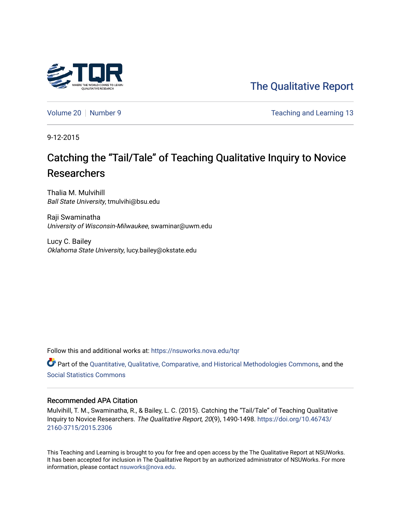

[The Qualitative Report](https://nsuworks.nova.edu/tqr) 

[Volume 20](https://nsuworks.nova.edu/tqr/vol20) [Number 9](https://nsuworks.nova.edu/tqr/vol20/iss9) Teaching and Learning 13

9-12-2015

# Catching the "Tail/Tale" of Teaching Qualitative Inquiry to Novice Researchers

Thalia M. Mulvihill Ball State University, tmulvihi@bsu.edu

Raji Swaminatha University of Wisconsin-Milwaukee, swaminar@uwm.edu

Lucy C. Bailey Oklahoma State University, lucy.bailey@okstate.edu

Follow this and additional works at: [https://nsuworks.nova.edu/tqr](https://nsuworks.nova.edu/tqr?utm_source=nsuworks.nova.edu%2Ftqr%2Fvol20%2Fiss9%2F13&utm_medium=PDF&utm_campaign=PDFCoverPages) 

Part of the [Quantitative, Qualitative, Comparative, and Historical Methodologies Commons,](http://network.bepress.com/hgg/discipline/423?utm_source=nsuworks.nova.edu%2Ftqr%2Fvol20%2Fiss9%2F13&utm_medium=PDF&utm_campaign=PDFCoverPages) and the [Social Statistics Commons](http://network.bepress.com/hgg/discipline/1275?utm_source=nsuworks.nova.edu%2Ftqr%2Fvol20%2Fiss9%2F13&utm_medium=PDF&utm_campaign=PDFCoverPages) 

## Recommended APA Citation

Mulvihill, T. M., Swaminatha, R., & Bailey, L. C. (2015). Catching the "Tail/Tale" of Teaching Qualitative Inquiry to Novice Researchers. The Qualitative Report, 20(9), 1490-1498. [https://doi.org/10.46743/](https://doi.org/10.46743/2160-3715/2015.2306) [2160-3715/2015.2306](https://doi.org/10.46743/2160-3715/2015.2306)

This Teaching and Learning is brought to you for free and open access by the The Qualitative Report at NSUWorks. It has been accepted for inclusion in The Qualitative Report by an authorized administrator of NSUWorks. For more information, please contact [nsuworks@nova.edu.](mailto:nsuworks@nova.edu)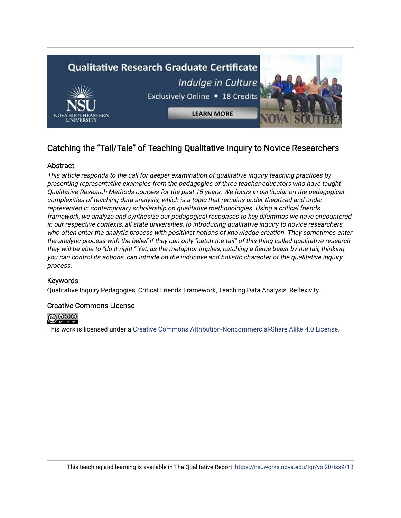

# Catching the "Tail/Tale" of Teaching Qualitative Inquiry to Novice Researchers

# **Abstract**

This article responds to the call for deeper examination of qualitative inquiry teaching practices by presenting representative examples from the pedagogies of three teacher-educators who have taught Qualitative Research Methods courses for the past 15 years. We focus in particular on the pedagogical complexities of teaching data analysis, which is a topic that remains under-theorized and underrepresented in contemporary scholarship on qualitative methodologies. Using a critical friends framework, we analyze and synthesize our pedagogical responses to key dilemmas we have encountered in our respective contexts, all state universities, to introducing qualitative inquiry to novice researchers who often enter the analytic process with positivist notions of knowledge creation. They sometimes enter the analytic process with the belief if they can only "catch the tail" of this thing called qualitative research they will be able to "do it right." Yet, as the metaphor implies, catching a fierce beast by the tail, thinking you can control its actions, can intrude on the inductive and holistic character of the qualitative inquiry process.

# Keywords

Qualitative Inquiry Pedagogies, Critical Friends Framework, Teaching Data Analysis, Reflexivity

# Creative Commons License



This work is licensed under a [Creative Commons Attribution-Noncommercial-Share Alike 4.0 License](https://creativecommons.org/licenses/by-nc-sa/4.0/).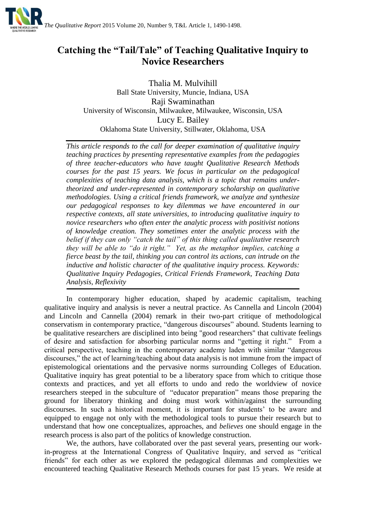

# **Catching the "Tail/Tale" of Teaching Qualitative Inquiry to Novice Researchers**

Thalia M. Mulvihill Ball State University, Muncie, Indiana, USA Raji Swaminathan University of Wisconsin, Milwaukee, Milwaukee, Wisconsin, USA Lucy E. Bailey Oklahoma State University, Stillwater, Oklahoma, USA

*This article responds to the call for deeper examination of qualitative inquiry teaching practices by presenting representative examples from the pedagogies of three teacher-educators who have taught Qualitative Research Methods courses for the past 15 years. We focus in particular on the pedagogical complexities of teaching data analysis, which is a topic that remains undertheorized and under-represented in contemporary scholarship on qualitative methodologies. Using a critical friends framework, we analyze and synthesize our pedagogical responses to key dilemmas we have encountered in our respective contexts, all state universities, to introducing qualitative inquiry to novice researchers who often enter the analytic process with positivist notions of knowledge creation. They sometimes enter the analytic process with the belief if they can only "catch the tail" of this thing called qualitative research they will be able to "do it right." Yet, as the metaphor implies, catching a fierce beast by the tail, thinking you can control its actions, can intrude on the inductive and holistic character of the qualitative inquiry process. Keywords: Qualitative Inquiry Pedagogies, Critical Friends Framework, Teaching Data Analysis, Reflexivity*

In contemporary higher education, shaped by academic capitalism, teaching qualitative inquiry and analysis is never a neutral practice. As Cannella and Lincoln (2004) and Lincoln and Cannella (2004) remark in their two-part critique of methodological conservatism in contemporary practice, "dangerous discourses" abound. Students learning to be qualitative researchers are disciplined into being "good researchers" that cultivate feelings of desire and satisfaction for absorbing particular norms and "getting it right." From a critical perspective, teaching in the contemporary academy laden with similar "dangerous discourses," the act of learning/teaching about data analysis is not immune from the impact of epistemological orientations and the pervasive norms surrounding Colleges of Education. Qualitative inquiry has great potential to be a liberatory space from which to critique those contexts and practices, and yet all efforts to undo and redo the worldview of novice researchers steeped in the subculture of "educator preparation" means those preparing the ground for liberatory thinking and doing must work within/against the surrounding discourses. In such a historical moment, it is important for students' to be aware and equipped to engage not only with the methodological tools to pursue their research but to understand that how one conceptualizes, approaches, and *believes* one should engage in the research process is also part of the politics of knowledge construction.

We, the authors, have collaborated over the past several years, presenting our workin-progress at the International Congress of Qualitative Inquiry, and served as "critical friends" for each other as we explored the pedagogical dilemmas and complexities we encountered teaching Qualitative Research Methods courses for past 15 years. We reside at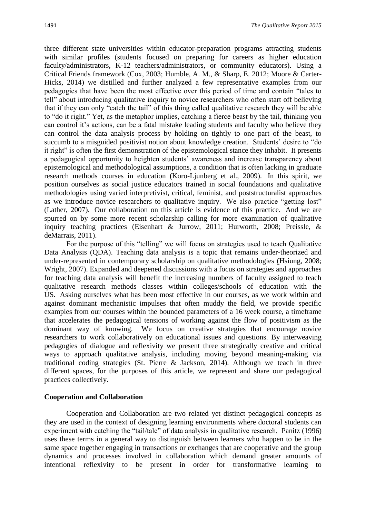three different state universities within educator-preparation programs attracting students with similar profiles (students focused on preparing for careers as higher education faculty/administrators, K-12 teachers/administrators, or community educators). Using a Critical Friends framework (Cox, 2003; Humble, A. M., & Sharp, E. 2012; Moore & Carter-Hicks, 2014) we distilled and further analyzed a few representative examples from our pedagogies that have been the most effective over this period of time and contain "tales to tell" about introducing qualitative inquiry to novice researchers who often start off believing that if they can only "catch the tail" of this thing called qualitative research they will be able to "do it right." Yet, as the metaphor implies, catching a fierce beast by the tail, thinking you can control it's actions, can be a fatal mistake leading students and faculty who believe they can control the data analysis process by holding on tightly to one part of the beast, to succumb to a misguided positivist notion about knowledge creation. Students' desire to "do it right" is often the first demonstration of the epistemological stance they inhabit. It presents a pedagogical opportunity to heighten students' awareness and increase transparency about epistemological and methodological assumptions, a condition that is often lacking in graduate research methods courses in education (Koro-Ljunberg et al., 2009). In this spirit, we position ourselves as social justice educators trained in social foundations and qualitative methodologies using varied interpretivist, critical, feminist, and poststructuralist approaches as we introduce novice researchers to qualitative inquiry. We also practice "getting lost" (Lather, 2007). Our collaboration on this article is evidence of this practice. And we are spurred on by some more recent scholarship calling for more examination of qualitative inquiry teaching practices (Eisenhart & Jurrow, 2011; Hurworth, 2008; Preissle, & deMarrais, 2011).

For the purpose of this "telling" we will focus on strategies used to teach Qualitative Data Analysis (QDA). Teaching data analysis is a topic that remains under-theorized and under-represented in contemporary scholarship on qualitative methodologies (Hsiung, 2008; Wright, 2007). Expanded and deepened discussions with a focus on strategies and approaches for teaching data analysis will benefit the increasing numbers of faculty assigned to teach qualitative research methods classes within colleges/schools of education with the US. Asking ourselves what has been most effective in our courses, as we work within and against dominant mechanistic impulses that often muddy the field, we provide specific examples from our courses within the bounded parameters of a 16 week course, a timeframe that accelerates the pedagogical tensions of working against the flow of positivism as the dominant way of knowing. We focus on creative strategies that encourage novice researchers to work collaboratively on educational issues and questions. By interweaving pedagogies of dialogue and reflexivity we present three strategically creative and critical ways to approach qualitative analysis, including moving beyond meaning-making via traditional coding strategies (St. Pierre & Jackson, 2014). Although we teach in three different spaces, for the purposes of this article, we represent and share our pedagogical practices collectively.

## **Cooperation and Collaboration**

Cooperation and Collaboration are two related yet distinct pedagogical concepts as they are used in the context of designing learning environments where doctoral students can experiment with catching the "tail/tale" of data analysis in qualitative research. Panitz (1996) uses these terms in a general way to distinguish between learners who happen to be in the same space together engaging in transactions or exchanges that are cooperative and the group dynamics and processes involved in collaboration which demand greater amounts of intentional reflexivity to be present in order for transformative learning to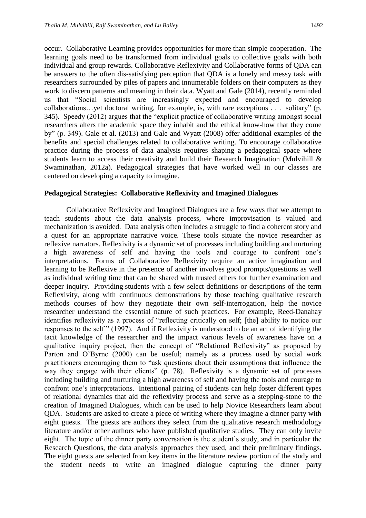occur. Collaborative Learning provides opportunities for more than simple cooperation. The learning goals need to be transformed from individual goals to collective goals with both individual and group rewards. Collaborative Reflexivity and Collaborative forms of QDA can be answers to the often dis-satisfying perception that QDA is a lonely and messy task with researchers surrounded by piles of papers and innumerable folders on their computers as they work to discern patterns and meaning in their data. Wyatt and Gale (2014), recently reminded us that "Social scientists are increasingly expected and encouraged to develop collaborations…yet doctoral writing, for example, is, with rare exceptions . . . solitary" (p. 345). Speedy (2012) argues that the "explicit practice of collaborative writing amongst social researchers alters the academic space they inhabit and the ethical know-how that they come by" (p. 349). Gale et al. (2013) and Gale and Wyatt (2008) offer additional examples of the benefits and special challenges related to collaborative writing. To encourage collaborative practice during the process of data analysis requires shaping a pedagogical space where students learn to access their creativity and build their Research Imagination (Mulvihill & Swaminathan, 2012a). Pedagogical strategies that have worked well in our classes are centered on developing a capacity to imagine.

# **Pedagogical Strategies: Collaborative Reflexivity and Imagined Dialogues**

Collaborative Reflexivity and Imagined Dialogues are a few ways that we attempt to teach students about the data analysis process, where improvisation is valued and mechanization is avoided. Data analysis often includes a struggle to find a coherent story and a quest for an appropriate narrative voice. These tools situate the novice researcher as reflexive narrators. Reflexivity is a dynamic set of processes including building and nurturing a high awareness of self and having the tools and courage to confront one's interpretations. Forms of Collaborative Reflexivity require an active imagination and learning to be Reflexive in the presence of another involves good prompts/questions as well as individual writing time that can be shared with trusted others for further examination and deeper inquiry. Providing students with a few select definitions or descriptions of the term Reflexivity, along with continuous demonstrations by those teaching qualitative research methods courses of how they negotiate their own self-interrogation, help the novice researcher understand the essential nature of such practices. For example, Reed-Danahay identifies reflexivity as a process of "reflecting critically on self; [the] ability to notice our responses to the self " (1997). And if Reflexivity is understood to be an act of identifying the tacit knowledge of the researcher and the impact various levels of awareness have on a qualitative inquiry project, then the concept of "Relational Reflexivity" as proposed by Parton and O'Byrne (2000) can be useful; namely as a process used by social work practitioners encouraging them to "ask questions about their assumptions that influence the way they engage with their clients" (p. 78). Reflexivity is a dynamic set of processes including building and nurturing a high awareness of self and having the tools and courage to confront one's interpretations. Intentional pairing of students can help foster different types of relational dynamics that aid the reflexivity process and serve as a stepping-stone to the creation of Imagined Dialogues, which can be used to help Novice Researchers learn about QDA. Students are asked to create a piece of writing where they imagine a dinner party with eight guests. The guests are authors they select from the qualitative research methodology literature and/or other authors who have published qualitative studies. They can only invite eight. The topic of the dinner party conversation is the student's study, and in particular the Research Questions, the data analysis approaches they used, and their preliminary findings. The eight guests are selected from key items in the literature review portion of the study and the student needs to write an imagined dialogue capturing the dinner party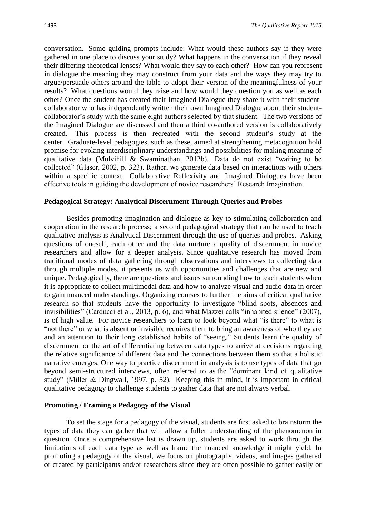conversation. Some guiding prompts include: What would these authors say if they were gathered in one place to discuss your study? What happens in the conversation if they reveal their differing theoretical lenses? What would they say to each other? How can you represent in dialogue the meaning they may construct from your data and the ways they may try to argue/persuade others around the table to adopt their version of the meaningfulness of your results? What questions would they raise and how would they question you as well as each other? Once the student has created their Imagined Dialogue they share it with their studentcollaborator who has independently written their own Imagined Dialogue about their studentcollaborator's study with the same eight authors selected by that student. The two versions of the Imagined Dialogue are discussed and then a third co-authored version is collaboratively created. This process is then recreated with the second student's study at the center. Graduate-level pedagogies, such as these, aimed at strengthening metacognition hold promise for evoking interdisciplinary understandings and possibilities for making meaning of qualitative data (Mulvihill & Swaminathan, 2012b). Data do not exist "waiting to be collected" (Glaser, 2002, p. 323). Rather, we generate data based on interactions with others within a specific context. Collaborative Reflexivity and Imagined Dialogues have been effective tools in guiding the development of novice researchers' Research Imagination.

#### **Pedagogical Strategy: Analytical Discernment Through Queries and Probes**

Besides promoting imagination and dialogue as key to stimulating collaboration and cooperation in the research process; a second pedagogical strategy that can be used to teach qualitative analysis is Analytical Discernment through the use of queries and probes. Asking questions of oneself, each other and the data nurture a quality of discernment in novice researchers and allow for a deeper analysis. Since qualitative research has moved from traditional modes of data gathering through observations and interviews to collecting data through multiple modes, it presents us with opportunities and challenges that are new and unique. Pedagogically, there are questions and issues surrounding how to teach students when it is appropriate to collect multimodal data and how to analyze visual and audio data in order to gain nuanced understandings. Organizing courses to further the aims of critical qualitative research so that students have the opportunity to investigate "blind spots, absences and invisibilities" (Carducci et al., 2013, p. 6), and what Mazzei calls "inhabited silence" (2007), is of high value. For novice researchers to learn to look beyond what "is there" to what is "not there" or what is absent or invisible requires them to bring an awareness of who they are and an attention to their long established habits of "seeing." Students learn the quality of discernment or the art of differentiating between data types to arrive at decisions regarding the relative significance of different data and the connections between them so that a holistic narrative emerges. One way to practice discernment in analysis is to use types of data that go beyond semi-structured interviews, often referred to as the "dominant kind of qualitative study" (Miller & Dingwall, 1997, p. 52). Keeping this in mind, it is important in critical qualitative pedagogy to challenge students to gather data that are not always verbal.

#### **Promoting / Framing a Pedagogy of the Visual**

To set the stage for a pedagogy of the visual, students are first asked to brainstorm the types of data they can gather that will allow a fuller understanding of the phenomenon in question. Once a comprehensive list is drawn up, students are asked to work through the limitations of each data type as well as frame the nuanced knowledge it might yield. In promoting a pedagogy of the visual, we focus on photographs, videos, and images gathered or created by participants and/or researchers since they are often possible to gather easily or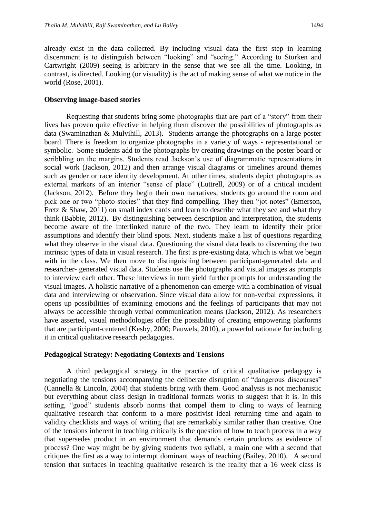already exist in the data collected. By including visual data the first step in learning discernment is to distinguish between "looking" and "seeing." According to Sturken and Cartwright (2009) seeing is arbitrary in the sense that we see all the time. Looking, in contrast, is directed. Looking (or visuality) is the act of making sense of what we notice in the world (Rose, 2001).

#### **Observing image-based stories**

Requesting that students bring some photographs that are part of a "story" from their lives has proven quite effective in helping them discover the possibilities of photographs as data (Swaminathan & Mulvihill, 2013). Students arrange the photographs on a large poster board. There is freedom to organize photographs in a variety of ways - representational or symbolic. Some students add to the photographs by creating drawings on the poster board or scribbling on the margins. Students read Jackson's use of diagrammatic representations in social work (Jackson, 2012) and then arrange visual diagrams or timelines around themes such as gender or race identity development. At other times, students depict photographs as external markers of an interior "sense of place" (Luttrell, 2009) or of a critical incident (Jackson, 2012). Before they begin their own narratives, students go around the room and pick one or two "photo-stories" that they find compelling. They then "jot notes" (Emerson, Fretz & Shaw, 2011) on small index cards and learn to describe what they see and what they think (Babbie, 2012). By distinguishing between description and interpretation, the students become aware of the interlinked nature of the two. They learn to identify their prior assumptions and identify their blind spots. Next, students make a list of questions regarding what they observe in the visual data. Questioning the visual data leads to discerning the two intrinsic types of data in visual research. The first is pre-existing data, which is what we begin with in the class. We then move to distinguishing between participant-generated data and researcher- generated visual data. Students use the photographs and visual images as prompts to interview each other. These interviews in turn yield further prompts for understanding the visual images. A holistic narrative of a phenomenon can emerge with a combination of visual data and interviewing or observation. Since visual data allow for non-verbal expressions, it opens up possibilities of examining emotions and the feelings of participants that may not always be accessible through verbal communication means (Jackson, 2012). As researchers have asserted, visual methodologies offer the possibility of creating empowering platforms that are participant-centered (Kesby, 2000; Pauwels, 2010), a powerful rationale for including it in critical qualitative research pedagogies.

#### **Pedagogical Strategy: Negotiating Contexts and Tensions**

A third pedagogical strategy in the practice of critical qualitative pedagogy is negotiating the tensions accompanying the deliberate disruption of "dangerous discourses" (Cannella & Lincoln, 2004) that students bring with them. Good analysis is not mechanistic but everything about class design in traditional formats works to suggest that it is. In this setting, "good" students absorb norms that compel them to cling to ways of learning qualitative research that conform to a more positivist ideal returning time and again to validity checklists and ways of writing that are remarkably similar rather than creative. One of the tensions inherent in teaching critically is the question of how to teach process in a way that supersedes product in an environment that demands certain products as evidence of process? One way might be by giving students two syllabi, a main one with a second that critiques the first as a way to interrupt dominant ways of teaching (Bailey, 2010). A second tension that surfaces in teaching qualitative research is the reality that a 16 week class is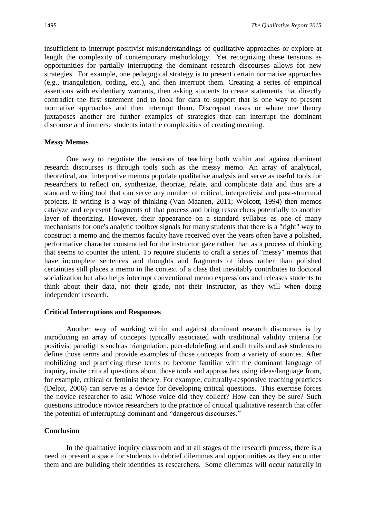insufficient to interrupt positivist misunderstandings of qualitative approaches or explore at length the complexity of contemporary methodology. Yet recognizing these tensions as opportunities for partially interrupting the dominant research discourses allows for new strategies. For example, one pedagogical strategy is to present certain normative approaches (e.g., triangulation, coding, etc.), and then interrupt them. Creating a series of empirical assertions with evidentiary warrants, then asking students to create statements that directly contradict the first statement and to look for data to support that is one way to present normative approaches and then interrupt them. Discrepant cases or where one theory juxtaposes another are further examples of strategies that can interrupt the dominant discourse and immerse students into the complexities of creating meaning.

#### **Messy Memos**

One way to negotiate the tensions of teaching both within and against dominant research discourses is through tools such as the messy memo. An array of analytical, theoretical, and interpretive memos populate qualitative analysis and serve as useful tools for researchers to reflect on, synthesize, theorize, relate, and complicate data and thus are a standard writing tool that can serve any number of critical, interpretivist and post-structural projects. If writing is a way of thinking (Van Maanen, 2011; Wolcott, 1994) then memos catalyze and represent fragments of that process and bring researchers potentially to another layer of theorizing. However, their appearance on a standard syllabus as one of many mechanisms for one's analytic toolbox signals for many students that there is a "right" way to construct a memo and the memos faculty have received over the years often have a polished, performative character constructed for the instructor gaze rather than as a process of thinking that seems to counter the intent. To require students to craft a series of "messy" memos that have incomplete sentences and thoughts and fragments of ideas rather than polished certainties still places a memo in the context of a class that inevitably contributes to doctoral socialization but also helps interrupt conventional memo expressions and releases students to think about their data, not their grade, not their instructor, as they will when doing independent research.

# **Critical Interruptions and Responses**

Another way of working within and against dominant research discourses is by introducing an array of concepts typically associated with traditional validity criteria for positivist paradigms such as triangulation, peer-debriefing, and audit trails and ask students to define those terms and provide examples of those concepts from a variety of sources. After mobilizing and practicing these terms to become familiar with the dominant language of inquiry, invite critical questions about those tools and approaches using ideas/language from, for example, critical or feminist theory. For example, culturally-responsive teaching practices (Delpit, 2006) can serve as a device for developing critical questions. This exercise forces the novice researcher to ask: Whose voice did they collect? How can they be sure? Such questions introduce novice researchers to the practice of critical qualitative research that offer the potential of interrupting dominant and "dangerous discourses."

# **Conclusion**

In the qualitative inquiry classroom and at all stages of the research process, there is a need to present a space for students to debrief dilemmas and opportunities as they encounter them and are building their identities as researchers. Some dilemmas will occur naturally in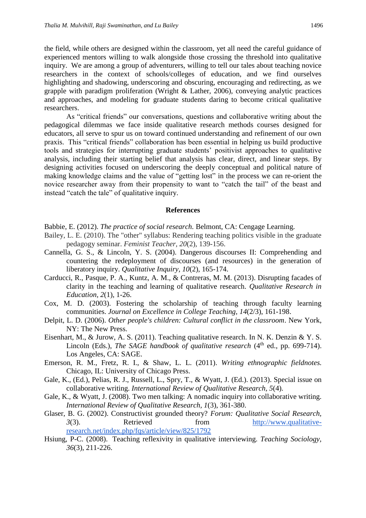the field, while others are designed within the classroom, yet all need the careful guidance of experienced mentors willing to walk alongside those crossing the threshold into qualitative inquiry. We are among a group of adventurers, willing to tell our tales about teaching novice researchers in the context of schools/colleges of education, and we find ourselves highlighting and shadowing, underscoring and obscuring, encouraging and redirecting, as we grapple with paradigm proliferation (Wright & Lather, 2006), conveying analytic practices and approaches, and modeling for graduate students daring to become critical qualitative researchers.

As "critical friends" our conversations, questions and collaborative writing about the pedagogical dilemmas we face inside qualitative research methods courses designed for educators, all serve to spur us on toward continued understanding and refinement of our own praxis. This "critical friends" collaboration has been essential in helping us build productive tools and strategies for interrupting graduate students' positivist approaches to qualitative analysis, including their starting belief that analysis has clear, direct, and linear steps. By designing activities focused on underscoring the deeply conceptual and political nature of making knowledge claims and the value of "getting lost" in the process we can re-orient the novice researcher away from their propensity to want to "catch the tail" of the beast and instead "catch the tale" of qualitative inquiry.

#### **References**

- Babbie, E. (2012). *The practice of social research.* Belmont, CA: Cengage Learning.
- Bailey, L. E. (2010). The "other" syllabus: Rendering teaching politics visible in the graduate pedagogy seminar. *Feminist Teacher, 20*(2), 139-156.
- Cannella, G. S., & Lincoln, Y. S. (2004). Dangerous discourses II: Comprehending and countering the redeployment of discourses (and resources) in the generation of liberatory inquiry. *Qualitative Inquiry, 10*(2), 165-174.
- Carducci, R., Pasque, P. A., Kuntz, A. M., & Contreras, M. M. (2013). Disrupting facades of clarity in the teaching and learning of qualitative research. *Qualitative Research in Education, 2*(1), 1-26.
- Cox, M. D. (2003). Fostering the scholarship of teaching through faculty learning communities. *Journal on Excellence in College Teaching, 14*(2/3), 161-198.
- Delpit, L. D. (2006). *Other people's children: Cultural conflict in the classroom*. New York, NY: The New Press.
- Eisenhart, M., & Jurow, A. S. (2011). Teaching qualitative research. In N. K. Denzin & Y. S. Lincoln (Eds.), *The SAGE handbook of qualitative research* (4<sup>th</sup> ed., pp. 699-714). Los Angeles, CA: SAGE.
- Emerson, R. M., Fretz, R. I., & Shaw, L. L. (2011). *Writing ethnographic fieldnotes.* Chicago, IL: University of Chicago Press.
- Gale, K., (Ed.), Pelias, R. J., Russell, L., Spry, T., & Wyatt, J. (Ed.). (2013). Special issue on collaborative writing. *International Review of Qualitative Research, 5*(4).
- Gale, K., & Wyatt, J. (2008). Two men talking: A nomadic inquiry into collaborative writing. *International Review of Qualitative Research, 1*(3), 361-380.
- Glaser, B. G. (2002). Constructivist grounded theory? *Forum: Qualitative Social Research, 3*(3). Retrieved from [http://www.qualitative](http://www.qualitative-research.net/index.php/fqs/article/view/825/1792)[research.net/index.php/fqs/article/view/825/1792](http://www.qualitative-research.net/index.php/fqs/article/view/825/1792)
- Hsiung, P-C. (2008). Teaching reflexivity in qualitative interviewing. *Teaching Sociology, 36*(3), 211-226.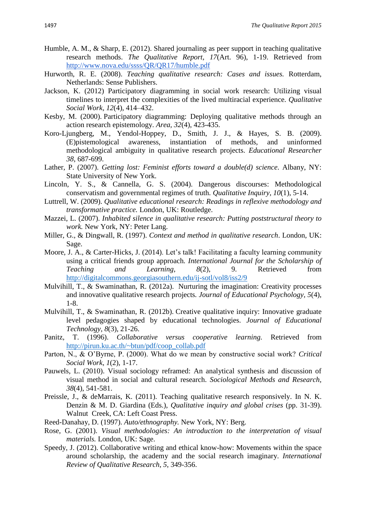- Humble, A. M., & Sharp, E. (2012). Shared journaling as peer support in teaching qualitative research methods. *The Qualitative Report, 17*(Art. 96), 1-19. Retrieved from <http://www.nova.edu/ssss/QR/QR17/humble.pdf>
- Hurworth, R. E. (2008). *Teaching qualitative research: Cases and issues.* Rotterdam, Netherlands: Sense Publishers.
- Jackson, K. (2012) Participatory diagramming in social work research: Utilizing visual timelines to interpret the complexities of the lived multiracial experience. *Qualitative Social Work, 12*(4), 414–432.
- Kesby, M. (2000). Participatory diagramming: Deploying qualitative methods through an action research epistemology. *Area, 32*(4), 423-435.
- Koro-Ljungberg, M., Yendol-Hoppey, D., Smith, J. J., & Hayes, S. B. (2009). (E)pistemological awareness, instantiation of methods, and uninformed methodological ambiguity in qualitative research projects. *Educational Researcher 38*, 687-699.
- Lather, P. (2007). *Getting lost: Feminist efforts toward a double(d) science*. Albany, NY: State University of New York.
- Lincoln, Y. S., & Cannella, G. S. (2004). Dangerous discourses: Methodological conservatism and governmental regimes of truth. *Qualitative Inquiry*, *10*(1), 5-14.
- Luttrell, W. (2009). *Qualitative educational research: Readings in reflexive methodology and transformative practice.* London, UK: Routledge.
- Mazzei, L. (2007). *Inhabited silence in qualitative research: Putting poststructural theory to work.* New York, NY: Peter Lang.
- Miller, G., & Dingwall, R. (1997). *Context and method in qualitative research*. London, UK: Sage.
- Moore, J. A., & Carter-Hicks, J. (2014). Let's talk! Facilitating a faculty learning community using a critical friends group approach*. International Journal for the Scholarship of Teaching and Learning, 8*(2), 9. Retrieved from <http://digitalcommons.georgiasouthern.edu/ij-sotl/vol8/iss2/9>
- Mulvihill, T., & Swaminathan, R. (2012a). Nurturing the imagination: Creativity processes and innovative qualitative research projects*. Journal of Educational Psychology, 5*(4), 1-8.
- Mulvihill, T., & Swaminathan, R. (2012b). Creative qualitative inquiry: Innovative graduate level pedagogies shaped by educational technologies. *Journal of Educational Technology, 8*(3), 21-26.
- Panitz, T. (1996). *Collaborative versus cooperative learning.* Retrieved from [http://pirun.ku.ac.th/~btun/pdf/coop\\_collab.pdf](http://pirun.ku.ac.th/~btun/pdf/coop_collab.pdf)
- Parton, N., & O'Byrne, P. (2000). What do we mean by constructive social work? *Critical Social Work*, *1*(2), 1-17.
- Pauwels, L. (2010). Visual sociology reframed: An analytical synthesis and discussion of visual method in social and cultural research. *Sociological Methods and Research, 38*(4), 541-581.
- Preissle, J., & deMarrais, K. (2011). Teaching qualitative research responsively. In N. K. Denzin & M. D. Giardina (Eds.), *Qualitative inquiry and global crises* (pp. 31-39). Walnut Creek, CA: Left Coast Press.
- Reed-Danahay, D. (1997). *Auto/ethnography.* New York, NY: Berg.
- Rose, G. (2001). *Visual methodologies: An introduction to the interpretation of visual materials.* London, UK: Sage.
- Speedy, J. (2012). Collaborative writing and ethical know-how: Movements within the space around scholarship, the academy and the social research imaginary. *International Review of Qualitative Research*, *5*, 349-356.